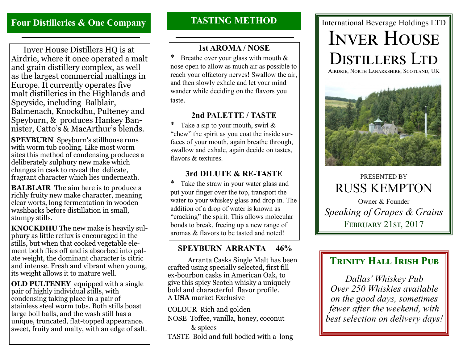# **Four Distilleries & One Company**

 Inver House Distillers HQ is at Airdrie, where it once operated a malt and grain distillery complex, as well as the largest commercial maltings in Europe. It currently operates five malt distilleries in the Highlands and Speyside, including Balblair, Balmenach, Knockdhu, Pulteney and Speyburn, & produces Hankey Bannister, Catto's & MacArthur's blends.

**SPEYBURN** Speyburn's stillhouse runs with worm tub cooling. Like most worm sites this method of condensing produces a deliberately sulphury new make which changes in cask to reveal the delicate, fragrant character which lies underneath.

**BALBLAIR** The aim here is to produce a richly fruity new make character, meaning clear worts, long fermentation in wooden washbacks before distillation in small, stumpy stills.

**KNOCKDHU** The new make is heavily sulphury as little reflux is encouraged in the stills, but when that cooked vegetable element both flies off and is absorbed into palate weight, the dominant character is citric and intense. Fresh and vibrant when young, its weight allows it to mature well.

**OLD PULTENEY** equipped with a single pair of highly individual stills, with condensing taking place in a pair of stainless steel worm tubs. Both stills boast large boil balls, and the wash still has a unique, truncated, flat-topped appearance. sweet, fruity and malty, with an edge of salt.

## **TASTING METHOD**

### **1st AROMA / NOSE**

Breathe over your glass with mouth  $&$ nose open to allow as much air as possible to reach your olfactory nerves! Swallow the air, and then slowly exhale and let your mind wander while deciding on the flavors you taste.

### **2nd PALETTE / TASTE**

Take a sip to your mouth, swirl  $&$ "chew" the spirit as you coat the inside surfaces of your mouth, again breathe through, swallow and exhale, again decide on tastes, flavors & textures.

## **3rd DILUTE & RE-TASTE**

\* Take the straw in your water glass and put your finger over the top, transport the water to your whiskey glass and drop in. The addition of a drop of water is known as "cracking" the spirit. This allows molecular bonds to break, freeing up a new range of aromas & flavors to be tasted and noted!

## **SPEYBURN ARRANTA 46%**

 Arranta Casks Single Malt has been crafted using specially selected, first fill ex-bourbon casks in American Oak, to give this spicy Scotch whisky a uniquely bold and characterful flavor profile. A **USA** market Exclusive

COLOUR Rich and golden

NOSE Toffee, vanilla, honey, coconut & spices

TASTE Bold and full bodied with a long

# International Beverage Holdings LTD INVER HOUSE DISTILLERS LTD

Airdrie, North Lanarkshire, Scotland, UK



PRESENTED BY RUSS KEMPTON

Owner & Founder *Speaking of Grapes & Grains* FEBRUARY 21ST, 2017

# **TRINITY HALL IRISH PUB**

*Dallas' Whiskey Pub Over 250 Whiskies available on the good days, sometimes fewer after the weekend, with best selection on delivery days!*